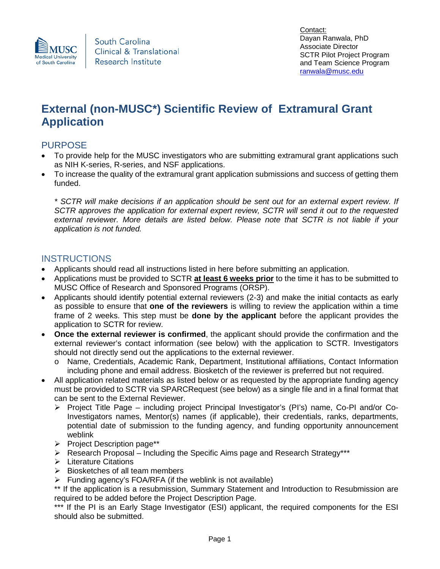

# **External (non-MUSC\*) Scientific Review of Extramural Grant Application**

## PURPOSE

- To provide help for the MUSC investigators who are submitting extramural grant applications such as NIH K-series, R-series, and NSF applications.
- To increase the quality of the extramural grant application submissions and success of getting them funded.

*\* SCTR will make decisions if an application should be sent out for an external expert review. If SCTR approves the application for external expert review, SCTR will send it out to the requested external reviewer. More details are listed below. Please note that SCTR is not liable if your application is not funded.*

## **INSTRUCTIONS**

- Applicants should read all instructions listed in here before submitting an application.
- Applications must be provided to SCTR **at least 6 weeks prior** to the time it has to be submitted to MUSC Office of Research and Sponsored Programs (ORSP).
- Applicants should identify potential external reviewers (2-3) and make the initial contacts as early as possible to ensure that **one of the reviewers** is willing to review the application within a time frame of 2 weeks. This step must be **done by the applicant** before the applicant provides the application to SCTR for review.
- **Once the external reviewer is confirmed**, the applicant should provide the confirmation and the external reviewer's contact information (see below) with the application to SCTR. Investigators should not directly send out the applications to the external reviewer.
	- o Name, Credentials, Academic Rank, Department, Institutional affiliations, Contact Information including phone and email address. Biosketch of the reviewer is preferred but not required.
- All application related materials as listed below or as requested by the appropriate funding agency must be provided to SCTR via SPARCRequest (see below) as a single file and in a final format that can be sent to the External Reviewer.
	- $\triangleright$  Project Title Page including project Principal Investigator's (PI's) name, Co-PI and/or Co-Investigators names, Mentor(s) names (if applicable), their credentials, ranks, departments, potential date of submission to the funding agency, and funding opportunity announcement weblink
	- Project Description page\*\*
	- $\triangleright$  Research Proposal Including the Specific Aims page and Research Strategy\*\*\*
	- $\triangleright$  Literature Citations
	- $\triangleright$  Biosketches of all team members
	- $\triangleright$  Funding agency's FOA/RFA (if the weblink is not available)

\*\* If the application is a resubmission, Summary Statement and Introduction to Resubmission are required to be added before the Project Description Page.

\*\*\* If the PI is an Early Stage Investigator (ESI) applicant, the required components for the ESI should also be submitted.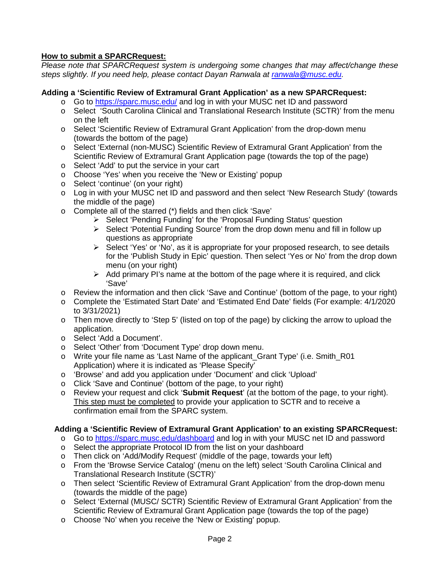#### **How to submit a SPARCRequest:**

*Please note that SPARCRequest system is undergoing some changes that may affect/change these steps slightly. If you need help, please contact Dayan Ranwala at [ranwala@musc.edu.](mailto:ranwala@musc.edu)* 

#### **Adding a 'Scientific Review of Extramural Grant Application' as a new SPARCRequest:**

- o Go to<https://sparc.musc.edu/> and log in with your MUSC net ID and password
- o Select 'South Carolina Clinical and Translational Research Institute (SCTR)' from the menu on the left
- o Select 'Scientific Review of Extramural Grant Application' from the drop-down menu (towards the bottom of the page)
- o Select 'External (non-MUSC) Scientific Review of Extramural Grant Application' from the Scientific Review of Extramural Grant Application page (towards the top of the page)
- o Select 'Add' to put the service in your cart
- o Choose 'Yes' when you receive the 'New or Existing' popup
- o Select 'continue' (on your right)
- o Log in with your MUSC net ID and password and then select 'New Research Study' (towards the middle of the page)
- o Complete all of the starred (\*) fields and then click 'Save'
	- Select 'Pending Funding' for the 'Proposal Funding Status' question
		- $\triangleright$  Select 'Potential Funding Source' from the drop down menu and fill in follow up questions as appropriate
		- $\triangleright$  Select 'Yes' or 'No', as it is appropriate for your proposed research, to see details for the 'Publish Study in Epic' question. Then select 'Yes or No' from the drop down menu (on your right)
		- $\triangleright$  Add primary PI's name at the bottom of the page where it is required, and click 'Save'
- o Review the information and then click 'Save and Continue' (bottom of the page, to your right)
- o Complete the 'Estimated Start Date' and 'Estimated End Date' fields (For example: 4/1/2020 to 3/31/2021)
- o Then move directly to 'Step 5' (listed on top of the page) by clicking the arrow to upload the application.
- o Select 'Add a Document'.
- o Select 'Other' from 'Document Type' drop down menu.
- o Write your file name as 'Last Name of the applicant\_Grant Type' (i.e. Smith\_R01 Application) where it is indicated as 'Please Specify'
- o 'Browse' and add you application under 'Document' and click 'Upload'
- o Click 'Save and Continue' (bottom of the page, to your right)
- o Review your request and click '**Submit Request**' (at the bottom of the page, to your right). This step must be completed to provide your application to SCTR and to receive a confirmation email from the SPARC system.

#### **Adding a 'Scientific Review of Extramural Grant Application' to an existing SPARCRequest:**

- o Go to<https://sparc.musc.edu/dashboard> and log in with your MUSC net ID and password
- o Select the appropriate Protocol ID from the list on your dashboard
- o Then click on 'Add/Modify Request' (middle of the page, towards your left)
- o From the 'Browse Service Catalog' (menu on the left) select 'South Carolina Clinical and Translational Research Institute (SCTR)'
- o Then select 'Scientific Review of Extramural Grant Application' from the drop-down menu (towards the middle of the page)
- o Select 'External (MUSC/ SCTR) Scientific Review of Extramural Grant Application' from the Scientific Review of Extramural Grant Application page (towards the top of the page)
- o Choose 'No' when you receive the 'New or Existing' popup.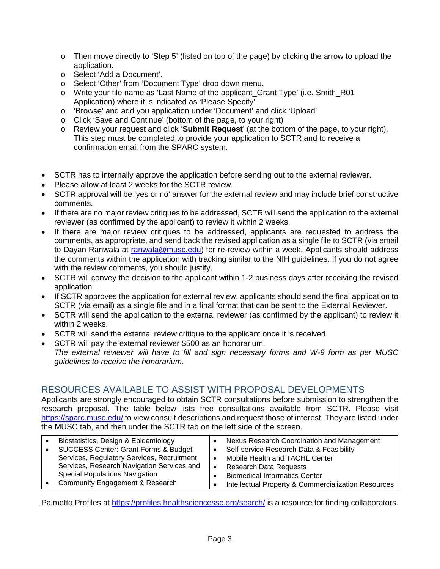- $\circ$  Then move directly to 'Step 5' (listed on top of the page) by clicking the arrow to upload the application.
- o Select 'Add a Document'.
- o Select 'Other' from 'Document Type' drop down menu.
- o Write your file name as 'Last Name of the applicant\_Grant Type' (i.e. Smith\_R01 Application) where it is indicated as 'Please Specify'
- o 'Browse' and add you application under 'Document' and click 'Upload'
- o Click 'Save and Continue' (bottom of the page, to your right)
- o Review your request and click '**Submit Request**' (at the bottom of the page, to your right). This step must be completed to provide your application to SCTR and to receive a confirmation email from the SPARC system.
- SCTR has to internally approve the application before sending out to the external reviewer.
- Please allow at least 2 weeks for the SCTR review.
- SCTR approval will be 'yes or no' answer for the external review and may include brief constructive comments.
- If there are no major review critiques to be addressed, SCTR will send the application to the external reviewer (as confirmed by the applicant) to review it within 2 weeks.
- If there are major review critiques to be addressed, applicants are requested to address the comments, as appropriate, and send back the revised application as a single file to SCTR (via email to Dayan Ranwala at [ranwala@musc.edu\)](mailto:ranwala@musc.edu) for re-review within a week. Applicants should address the comments within the application with tracking similar to the NIH guidelines. If you do not agree with the review comments, you should justify.
- SCTR will convey the decision to the applicant within 1-2 business days after receiving the revised application.
- If SCTR approves the application for external review, applicants should send the final application to SCTR (via email) as a single file and in a final format that can be sent to the External Reviewer.
- SCTR will send the application to the external reviewer (as confirmed by the applicant) to review it within 2 weeks.
- SCTR will send the external review critique to the applicant once it is received.
- SCTR will pay the external reviewer \$500 as an honorarium.
- *The external reviewer will have to fill and sign necessary forms and W-9 form as per MUSC guidelines to receive the honorarium.*

## RESOURCES AVAILABLE TO ASSIST WITH PROPOSAL DEVELOPMENTS

Applicants are strongly encouraged to obtain SCTR consultations before submission to strengthen the research proposal. The table below lists free consultations available from SCTR. Please visit <https://sparc.musc.edu/> to view consult descriptions and request those of interest. They are listed under the MUSC tab, and then under the SCTR tab on the left side of the screen.

| $\bullet$ | Biostatistics, Design & Epidemiology       |           | Nexus Research Coordination and Management          |
|-----------|--------------------------------------------|-----------|-----------------------------------------------------|
| $\bullet$ | SUCCESS Center: Grant Forms & Budget       |           | Self-service Research Data & Feasibility            |
|           | Services, Regulatory Services, Recruitment |           | Mobile Health and TACHL Center                      |
|           | Services, Research Navigation Services and | $\bullet$ | <b>Research Data Requests</b>                       |
|           | <b>Special Populations Navigation</b>      |           | <b>Biomedical Informatics Center</b>                |
| $\bullet$ | Community Engagement & Research            |           | Intellectual Property & Commercialization Resources |

Palmetto Profiles at<https://profiles.healthsciencessc.org/search/> is a resource for finding collaborators.